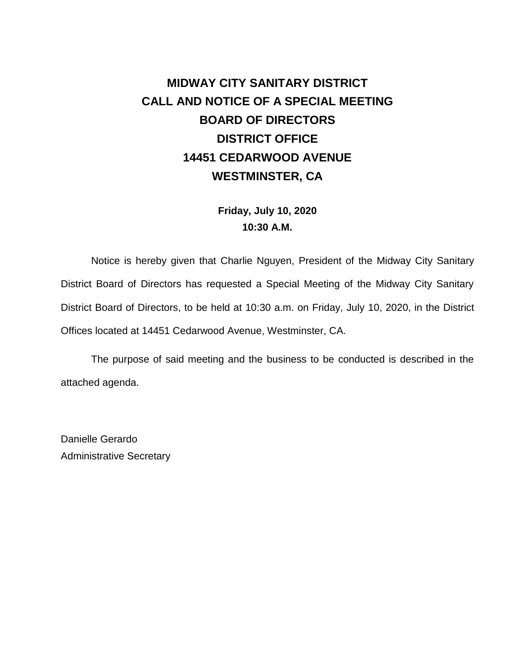# **MIDWAY CITY SANITARY DISTRICT CALL AND NOTICE OF A SPECIAL MEETING BOARD OF DIRECTORS DISTRICT OFFICE 14451 CEDARWOOD AVENUE WESTMINSTER, CA**

**Friday, July 10, 2020 10:30 A.M.**

Notice is hereby given that Charlie Nguyen, President of the Midway City Sanitary District Board of Directors has requested a Special Meeting of the Midway City Sanitary District Board of Directors, to be held at 10:30 a.m. on Friday, July 10, 2020, in the District Offices located at 14451 Cedarwood Avenue, Westminster, CA.

The purpose of said meeting and the business to be conducted is described in the attached agenda.

Danielle Gerardo Administrative Secretary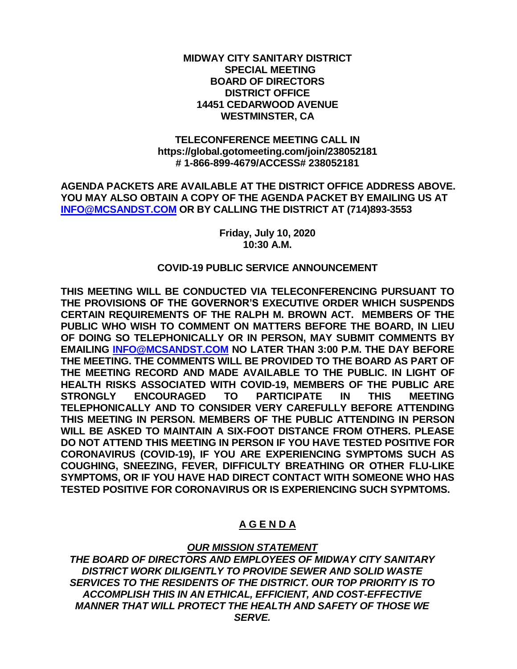**MIDWAY CITY SANITARY DISTRICT SPECIAL MEETING BOARD OF DIRECTORS DISTRICT OFFICE 14451 CEDARWOOD AVENUE WESTMINSTER, CA**

**TELECONFERENCE MEETING CALL IN https://global.gotomeeting.com/join/238052181 # 1-866-899-4679/ACCESS# 238052181**

**AGENDA PACKETS ARE AVAILABLE AT THE DISTRICT OFFICE ADDRESS ABOVE. YOU MAY ALSO OBTAIN A COPY OF THE AGENDA PACKET BY EMAILING US AT [INFO@MCSANDST.COM](mailto:INFO@MCSANDST.COM) OR BY CALLING THE DISTRICT AT (714)893-3553**

> **Friday, July 10, 2020 10:30 A.M.**

#### **COVID-19 PUBLIC SERVICE ANNOUNCEMENT**

**THIS MEETING WILL BE CONDUCTED VIA TELECONFERENCING PURSUANT TO THE PROVISIONS OF THE GOVERNOR'S EXECUTIVE ORDER WHICH SUSPENDS CERTAIN REQUIREMENTS OF THE RALPH M. BROWN ACT. MEMBERS OF THE PUBLIC WHO WISH TO COMMENT ON MATTERS BEFORE THE BOARD, IN LIEU OF DOING SO TELEPHONICALLY OR IN PERSON, MAY SUBMIT COMMENTS BY EMAILING [INFO@MCSANDST.COM](mailto:INFO@MCSANDST.COM) NO LATER THAN 3:00 P.M. THE DAY BEFORE THE MEETING. THE COMMENTS WILL BE PROVIDED TO THE BOARD AS PART OF THE MEETING RECORD AND MADE AVAILABLE TO THE PUBLIC. IN LIGHT OF HEALTH RISKS ASSOCIATED WITH COVID-19, MEMBERS OF THE PUBLIC ARE STRONGLY ENCOURAGED TO PARTICIPATE IN THIS MEETING TELEPHONICALLY AND TO CONSIDER VERY CAREFULLY BEFORE ATTENDING THIS MEETING IN PERSON. MEMBERS OF THE PUBLIC ATTENDING IN PERSON WILL BE ASKED TO MAINTAIN A SIX-FOOT DISTANCE FROM OTHERS. PLEASE DO NOT ATTEND THIS MEETING IN PERSON IF YOU HAVE TESTED POSITIVE FOR CORONAVIRUS (COVID-19), IF YOU ARE EXPERIENCING SYMPTOMS SUCH AS COUGHING, SNEEZING, FEVER, DIFFICULTY BREATHING OR OTHER FLU-LIKE SYMPTOMS, OR IF YOU HAVE HAD DIRECT CONTACT WITH SOMEONE WHO HAS TESTED POSITIVE FOR CORONAVIRUS OR IS EXPERIENCING SUCH SYPMTOMS.** 

#### **A G E N D A**

#### *OUR MISSION STATEMENT*

*THE BOARD OF DIRECTORS AND EMPLOYEES OF MIDWAY CITY SANITARY DISTRICT WORK DILIGENTLY TO PROVIDE SEWER AND SOLID WASTE SERVICES TO THE RESIDENTS OF THE DISTRICT. OUR TOP PRIORITY IS TO ACCOMPLISH THIS IN AN ETHICAL, EFFICIENT, AND COST-EFFECTIVE MANNER THAT WILL PROTECT THE HEALTH AND SAFETY OF THOSE WE SERVE.*